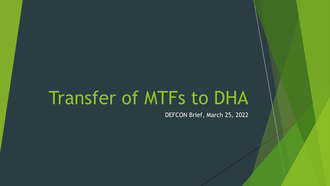# Transfer of MTFs to DHA

DEFCON Brief, March 25, 2022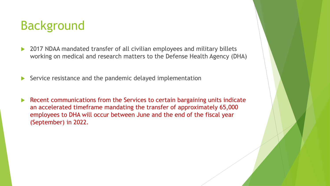## Background

- 2017 NDAA mandated transfer of all civilian employees and military billets working on medical and research matters to the Defense Health Agency (DHA)
- Service resistance and the pandemic delayed implementation
- Recent communications from the Services to certain bargaining units indicate an accelerated timeframe mandating the transfer of approximately 65,000 employees to DHA will occur between June and the end of the fiscal year (September) in 2022.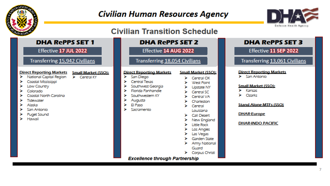

### **Civilian Human Resources Agency**



### **Civilian Transition Schedule**

### **DHA RePPS SET 1**

Effective 17 JUL 2022

Transferring 15,942 Civilians

#### Direct Reporting Markets Small Market (SSO):

### $\triangleright$  Central KY

National Capital Region

- Coastal Mississippi
- Low Country
- Colorado D
- Coastal North Carolina
- Tidewater
- Alaska
- San Antonio
- **Puget Sound**
- Hawaii

### **DHA RePPS SET 2** Effective 14 AUG 2022

Transferring 18,054 Civilians

#### **Direct Reporting Markets**

- San Diego
- **Central Texas**
- Southwest Georgia
- Florida Panhandle
- Southwestern KY
- Augusta
- El Paso
- Sacramento

#### **Small Market (SSO):**

- $\triangleright$  Central OK
- **West Point**
- **Upstate NY**
- Central SC
- Central VA Charleston
- Central
- Louisiana
- $\triangleright$  Cali Desert
- New England
- **Little Rock**
- Los Angles
- Las Vegas
- Garden State
- Army National
	- Guard
- Corpus Christi

#### **Excellence through Partnership**

### **DHA RePPS SET 3**

Effective 11 SEP 2022

#### Transferring 13,061 Civilians

#### **Direct Reporting Markets**

 $\triangleright$  San Antonio

#### **Small Market (SSO):**

- Kansas ⋗
- Ozarks

#### **Stand Alone MTFs (SSO)**

#### **DHAR-Europe**

**DHAR-INDO PACIFIC**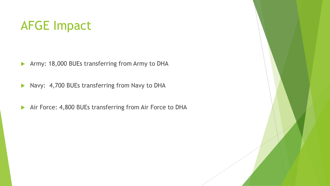## AFGE Impact

- Army: 18,000 BUEs transferring from Army to DHA
- Navy: 4,700 BUEs transferring from Navy to DHA
- Air Force: 4,800 BUEs transferring from Air Force to DHA

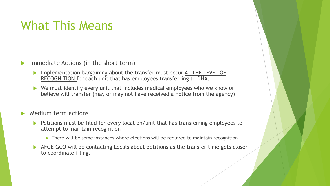## What This Means

- Immediate Actions (in the short term)
	- ▶ Implementation bargaining about the transfer must occur AT THE LEVEL OF RECOGNITION for each unit that has employees transferring to DHA.
	- ▶ We must identify every unit that includes medical employees who we know or believe will transfer (may or may not have received a notice from the agency)
- Medium term actions
	- ▶ Petitions must be filed for every location/unit that has transferring employees to attempt to maintain recognition
		- ▶ There will be some instances where elections will be required to maintain recognition
	- AFGE GCO will be contacting Locals about petitions as the transfer time gets closer to coordinate filing.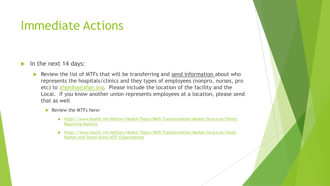## Immediate Actions

- In the next 14 days:
	- Review the list of MTFs that will be transferring and send information about who represents the hospitals/clinics and they types of employees (nonpro, nurses, pro etc) to [afgedha@afge.org](mailto:afgedha@afge.org). Please include the location of the facility and the Local. If you know another union represents employees at a location, please send that as well
		- Review the MTFs here:
			- [https://www.health.mil/Military-Health-Topics/MHS-Transformation/Market-Structure/Direct-](https://www.health.mil/Military-Health-Topics/MHS-Transformation/Market-Structure/Direct-Reporting-Markets)Reporting-Markets
			- [https://www.health.mil/Military-Health-Topics/MHS-Transformation/Market-Structure/Small-](https://www.health.mil/Military-Health-Topics/MHS-Transformation/Market-Structure/Small-Market-and-Stand-Alone-MTF-Organizations)Market-and-Stand-Alone-MTF-Organizations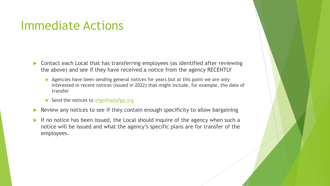## Immediate Actions

- ▶ Contact each Local that has transferring employees (as identified after reviewing the above) and see if they have received a notice from the agency RECENTLY
	- Agencies have been sending general notices for years but at this point we are only interested in recent notices (issued in 2022) that might include, for example, the date of transfer
	- Send the notices to [afgedha@afge.org](mailto:afgedha@afge.org)
- Review any notices to see if they contain enough specificity to allow bargaining
- If no notice has been issued, the Local should inquire of the agency when such a notice will be issued and what the agency's specific plans are for transfer of the employees.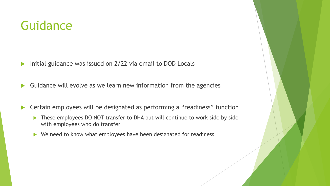## **Guidance**

▶ Initial guidance was issued on 2/22 via email to DOD Locals

Guidance will evolve as we learn new information from the agencies

- ▶ Certain employees will be designated as performing a "readiness" function
	- ▶ These employees DO NOT transfer to DHA but will continue to work side by side with employees who do transfer
	- ▶ We need to know what employees have been designated for readiness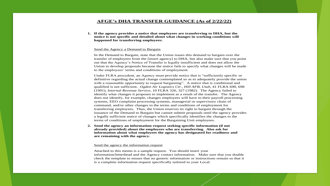#### **AFGE's DHA TRANSFER GUIDANCE (As of 2/22/22)**

**1. If the agency provides a notice that employees are transferring to DHA, but the notice is not specific and detailed about what changes in working conditions will happened for transferring employees:**

#### Send the Agency a Demand to Bargain.

In the Demand to Bargain, state that the Union issues this demand to bargain over the transfer of employees from the [insert agency] to DHA, but also make sure that you point out that the Agency's Notice of Transfer is legally insufficient and does not allow the Union to develop proposals because the notice fails to specify what changes will be made to the employees' terms and conditions of employment.

Under FLRA precedent, an Agency must provide notice that is "sufficiently specific or definitive regarding the actual change contemplated so as to adequately provide the union with a reasonable opportunity to request bargaining". A notice that is conditional and qualified is not sufficient. *Ogden Air Logistics Ctr., Hill AFB, Utah*, 41 FLRA 690, 698 (1991); *Internal Revenue Service*, 10 FLRA 326, 327 (1982). The Agency failed to identify what changes it proposes to implement as a result of the transfer. The Agency does not identify, for example, changes employees will have to their payroll processing systems, EEO complaint processing systems, managerial or supervisory chain of command, and/or other changes to the terms and conditions of employment for transferring employees. Thus, the Union reserves its right to bargain through the issuance of the Demand to Bargain but cannot submit proposals until the agency provides a legally sufficient notice of changes which specifically identifies the changes to the terms of conditions of employment for the Bargaining Unit employees.

**2. Send the agency an information request seeking specific information (if not already provided) about the employees who are transferring. Also ask for information about what employees the agency has designated for readiness and are remaining with the agency.**

#### Send the agency the information request

Attached to this memo is a sample request. You should insert your information/letterhead and the Agency contact information. Make sure that you double check the template to ensure that no generic information or instructions remain so that it is a complete information request specifically tailored to your Local.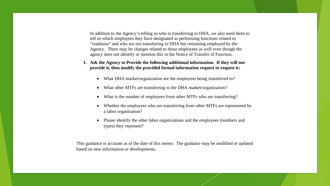In addition to the Agency's telling us who is transferring to DHA, we also need them to tell us which employees they have designated as performing functions related to "readiness" and who are not transferring to DHA but remaining employed by the Agency. There may be changes related to those employees as well even though the agency does not identify or mention this in the Notice of Transfer of Function.

#### **1. Ask the Agency to Provide the following additional information. If they will not provide it, then modify the provided formal information request to request it:**

- What DHA market/organization are the employees being transferred to?
- What other MTFs are transferring to the DHA market/organization?
- What is the number of employees from other MTFs who are transferring?
- Whether the employees who are transferring from other MTFs are represented by a labor organization?
- Please identify the other labor organizations and the employees (numbers and types) they represent?

This guidance is accurate as of the date of this memo. The guidance may be modified or updated based on new information or developments.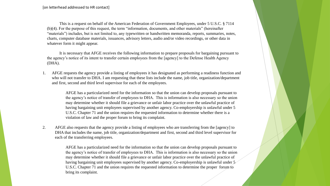This is a request on behalf of the American Federation of Government Employees, under 5 U.S.C. § 7114 (b)(4). For the purpose of this request, the term "information, documents, and other materials" (hereinafter "materials") includes, but is not limited to, any typewritten or handwritten memoranda, reports, summaries, notes, charts, computer database materials, issuances, advisory letters, audio and/or video recordings, or other data in whatever form it might appear.

It is necessary that AFGE receives the following information to prepare proposals for bargaining pursuant to the agency's notice of its intent to transfer certain employees from the [agency] to the Defense Health Agency (DHA).

1. AFGE requests the agency provide a listing of employees it has designated as performing a readiness function and who will not transfer to DHA. I am requesting that these lists include the name, job title, organization/department and first, second and third level supervisor for each of the employees.

> AFGE has a particularized need for the information so that the union can develop proposals pursuant to the agency's notice of transfer of employees to DHA. This is information is also necessary so the union may determine whether it should file a grievance or unfair labor practice over the unlawful practice of having bargaining unit employees supervised by another agency. Co-employership is unlawful under 5 U.S.C. Chapter 71 and the union requires the requested information to determine whether there is a violation of law and the proper forum to bring its complaint.

2. AFGE also requests that the agency provide a listing of employees who are transferring from the [agency] to DHA that includes the name, job title, organization/department and first, second and third level supervisor for each of the transferring employees.

> AFGE has a particularized need for the information so that the union can develop proposals pursuant to the agency's notice of transfer of employees to DHA. This is information is also necessary so the union may determine whether it should file a grievance or unfair labor practice over the unlawful practice of having bargaining unit employees supervised by another agency. Co-employership is unlawful under 5 U.S.C. Chapter 71 and the union requires the requested information to determine the proper forum to bring its complaint.